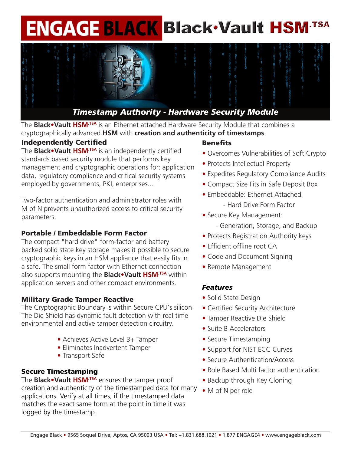# **ENGAGE BLACK Black Vault HSM-TSA**



The **Black•Vault HSM.TSA** is an Ethernet attached Hardware Security Module that combines a cryptographically advanced **HSM** with **creation and authenticity of timestamps**.

## Independently Certified

The **Black•Vault HSM.TSA** is an independently certified standards based security module that performs key management and cryptographic operations for: application data, regulatory compliance and critical security systems employed by governments, PKI, enterprises...

Two-factor authentication and administrator roles with M of N prevents unauthorized access to critical security parameters.

## Portable / Embeddable Form Factor

The compact "hard drive" form-factor and battery backed solid state key storage makes it possible to secure cryptographic keys in an HSM appliance that easily fits in a safe. The small form factor with Ethernet connection also supports mounting the **Black•Vault HSM.TSA** within application servers and other compact environments.

## Military Grade Tamper Reactive

The Cryptographic Boundary is within Secure CPU's silicon. The Die Shield has dynamic fault detection with real time environmental and active tamper detection circuitry.

- Achieves Active Level 3+ Tamper
- Eliminates Inadvertent Tamper
- Transport Safe

## Secure Timestamping

The **Black•Vault HSM.TSA** ensures the tamper proof creation and authenticity of the timestamped data for many applications. Verify at all times, if the timestamped data matches the exact same form at the point in time it was logged by the timestamp.

## **Benefits**

- Overcomes Vulnerabilities of Soft Crypto
- Protects Intellectual Property
- Expedites Regulatory Compliance Audits
- Compact Size Fits in Safe Deposit Box
- Embeddable: Ethernet Attached - Hard Drive Form Factor
- Secure Key Management:
	- Generation, Storage, and Backup
- Protects Registration Authority keys
- Efficient offline root CA
- Code and Document Signing
- Remote Management

## *Features*

- Solid State Design
- Certified Security Architecture
- Tamper Reactive Die Shield
- Suite B Accelerators
- Secure Timestamping
- Support for NIST ECC Curves
- Secure Authentication/Access
- Role Based Multi factor authentication
- Backup through Key Cloning
- M of N per role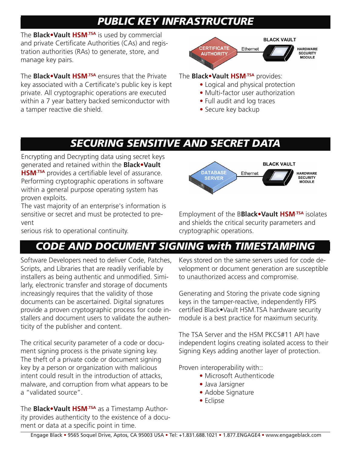# *PUBLIC KEY INFRASTRUCTURE*

The **Black•Vault HSM.TSA** is used by commercial and private Certificate Authorities (CAs) and registration authorities (RAs) to generate, store, and manage key pairs.

The **Black•Vault HSM.TSA** ensures that the Private key associated with a Certificate's public key is kept private. All cryptographic operations are executed within a 7 year battery backed semiconductor with a tamper reactive die shield.



## The **Black•Vault HSM.TSA** provides:

- Logical and physical protection
- Multi-factor user authorization
- Full audit and log traces
- Secure key backup

# *SECURING SENSITIVE AND SECRET DATA*

Encrypting and Decrypting data using secret keys generated and retained within the **Black•Vault HSM.TSA** provides a certifiable level of assurance. Performing cryptographic operations in software within a general purpose operating system has proven exploits.

The vast majority of an enterprise's information is sensitive or secret and must be protected to prevent

serious risk to operational continuity.



Employment of the B**Black•Vault HSM.TSA** isolates and shields the critical security parameters and cryptographic operations.

# *CODE AND DOCUMENT SIGNING with TIMESTAMPING*

Software Developers need to deliver Code, Patches, Scripts, and Libraries that are readily verifiable by installers as being authentic and unmodified. Similarly, electronic transfer and storage of documents increasingly requires that the validity of those documents can be ascertained. Digital signatures provide a proven cryptographic process for code installers and document users to validate the authenticity of the publisher and content.

The critical security parameter of a code or document signing process is the private signing key. The theft of a private code or document signing key by a person or organization with malicious intent could result in the introduction of attacks, malware, and corruption from what appears to be a "validated source".

The **Black•Vault HSM.TSA** as a Timestamp Authority provides authenticity to the existence of a document or data at a specific point in time.

Keys stored on the same servers used for code development or document generation are susceptible to unauthorized access and compromise.

Generating and Storing the private code signing keys in the tamper-reactive, independently FIPS certified Black•Vault HSM.TSA hardware security module is a best practice for maximum security.

The TSA Server and the HSM PKCS#11 API have independent logins creating isolated access to their Signing Keys adding another layer of protection.

Proven interoperability with::

- Microsoft Authenticode
- Java Jarsigner
- Adobe Signature
- Eclipse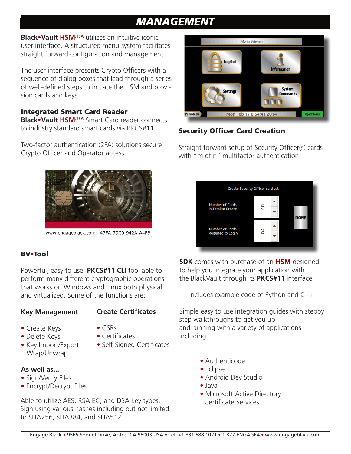# *MANAGEMENT*

**Black•Vault HSM.TSA** utilizes an intuitive iconic user interface. A structured menu system facilitates straight forward configuration and management.

The user interface presents Crypto Officers with a sequence of dialog boxes that lead through a series of well-defined steps to initiate the HSM and provision cards and keys.

## Integrated Smart Card Reader

**Black•Vault HSM.TSA** Smart Card reader connects to industry standard smart cards via PKCS#11

Two-factor authentication (2FA) solutions secure Crypto Officer and Operator access.



www.engageblack.com 47FA-79C0-942A-A4FB

## BV**•**Tool

Powerful, easy to use, **PKCS#11 CLI** tool able to perform many different cryptographic operations that works on Windows and Linux both physical and virtualized. Some of the functions are:

## **Key Management**

## **Create Certificates**

- Create Keys
- 
- **•** Delete Keys
- CSRs **•** Certificates
	-
- Key Import/Export Wrap/Unwrap
- Self-Signed Certificates

## **As well as...**

- Sign/Verify Files
- Encrypt/Decrypt Files

Able to utilize AES, RSA EC, and DSA key types. Sign using various hashes including but not limited to SHA256, SHA384, and SHA512.



## Security Officer Card Creation

Straight forward setup of Security Officer(s) cards with "m of n" multifactor authentication.

| Create Security Officer card set             |   |             |
|----------------------------------------------|---|-------------|
| <b>Number of Cards</b><br>in Total to Create | ۳ | <b>DONE</b> |
| <b>Number of Cards</b><br>Required to Login  |   |             |

**SDK** comes with purchase of an **HSM** designed to help you integrate your application with the BlackVault through its **PKCS#11** interface

- Includes example code of Python and C++

Simple easy to use integration guides with stepby step walkthroughs to get you up and running with a variety of applications including:

- **•** Authenticode
- **•** Eclipse
- **•** Android Dev Studio
- **•** Java
- Microsoft Active Directory Certificate Services